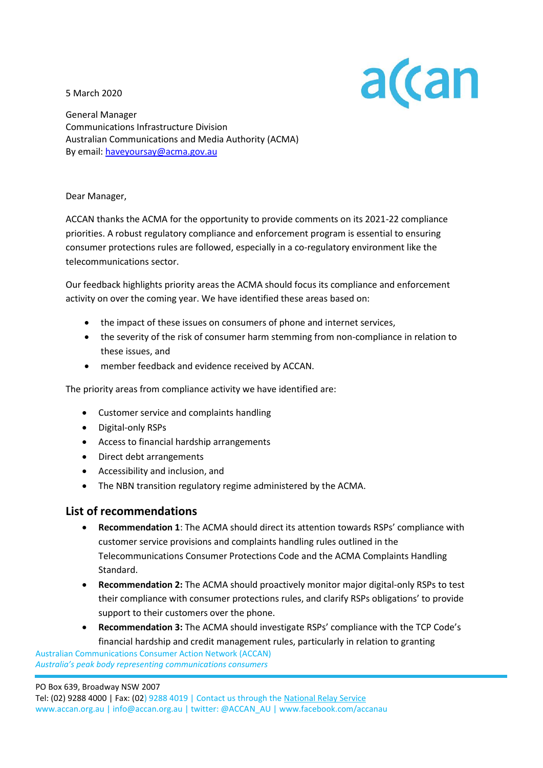5 March 2020



General Manager Communications Infrastructure Division Australian Communications and Media Authority (ACMA) By email[: haveyoursay@acma.gov.au](mailto:haveyoursay@acma.gov.au)

#### Dear Manager,

ACCAN thanks the ACMA for the opportunity to provide comments on its 2021-22 compliance priorities. A robust regulatory compliance and enforcement program is essential to ensuring consumer protections rules are followed, especially in a co-regulatory environment like the telecommunications sector.

Our feedback highlights priority areas the ACMA should focus its compliance and enforcement activity on over the coming year. We have identified these areas based on:

- the impact of these issues on consumers of phone and internet services,
- the severity of the risk of consumer harm stemming from non-compliance in relation to these issues, and
- member feedback and evidence received by ACCAN.

The priority areas from compliance activity we have identified are:

- Customer service and complaints handling
- Digital-only RSPs
- Access to financial hardship arrangements
- Direct debt arrangements
- Accessibility and inclusion, and
- The NBN transition regulatory regime administered by the ACMA.

### **List of recommendations**

- **Recommendation 1**: The ACMA should direct its attention towards RSPs' compliance with customer service provisions and complaints handling rules outlined in the Telecommunications Consumer Protections Code and the ACMA Complaints Handling Standard.
- **Recommendation 2:** The ACMA should proactively monitor major digital-only RSPs to test their compliance with consumer protections rules, and clarify RSPs obligations' to provide support to their customers over the phone.
- **Recommendation 3:** The ACMA should investigate RSPs' compliance with the TCP Code's financial hardship and credit management rules, particularly in relation to granting

 Australian Communications Consumer Action Network (ACCAN)  *Australia's peak body representing communications consumers*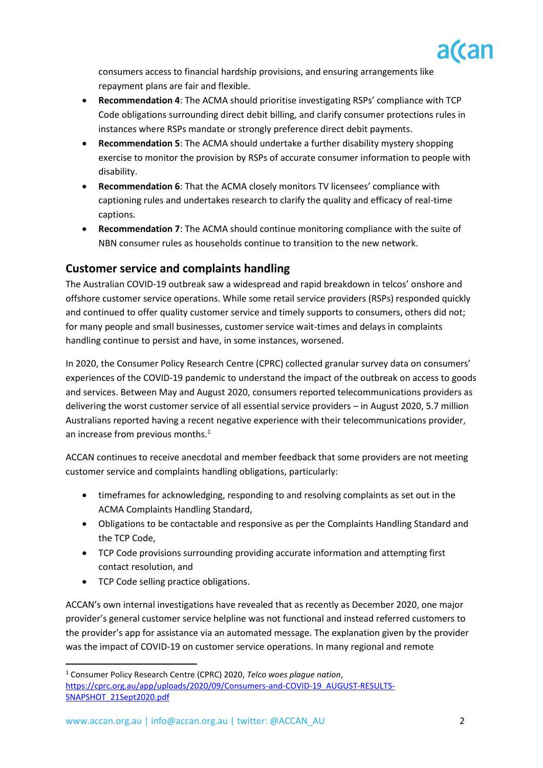

consumers access to financial hardship provisions, and ensuring arrangements like repayment plans are fair and flexible.

- **Recommendation 4**: The ACMA should prioritise investigating RSPs' compliance with TCP Code obligations surrounding direct debit billing, and clarify consumer protections rules in instances where RSPs mandate or strongly preference direct debit payments.
- **Recommendation 5**: The ACMA should undertake a further disability mystery shopping exercise to monitor the provision by RSPs of accurate consumer information to people with disability.
- **Recommendation 6**: That the ACMA closely monitors TV licensees' compliance with captioning rules and undertakes research to clarify the quality and efficacy of real-time captions.
- **Recommendation 7**: The ACMA should continue monitoring compliance with the suite of NBN consumer rules as households continue to transition to the new network.

## **Customer service and complaints handling**

The Australian COVID-19 outbreak saw a widespread and rapid breakdown in telcos' onshore and offshore customer service operations. While some retail service providers (RSPs) responded quickly and continued to offer quality customer service and timely supports to consumers, others did not; for many people and small businesses, customer service wait-times and delays in complaints handling continue to persist and have, in some instances, worsened.

In 2020, the Consumer Policy Research Centre (CPRC) collected granular survey data on consumers' experiences of the COVID-19 pandemic to understand the impact of the outbreak on access to goods and services. Between May and August 2020, consumers reported telecommunications providers as delivering the worst customer service of all essential service providers – in August 2020, 5.7 million Australians reported having a recent negative experience with their telecommunications provider, an increase from previous months.<sup>1</sup>

ACCAN continues to receive anecdotal and member feedback that some providers are not meeting customer service and complaints handling obligations, particularly:

- timeframes for acknowledging, responding to and resolving complaints as set out in the ACMA Complaints Handling Standard,
- Obligations to be contactable and responsive as per the Complaints Handling Standard and the TCP Code,
- TCP Code provisions surrounding providing accurate information and attempting first contact resolution, and
- TCP Code selling practice obligations.

ACCAN's own internal investigations have revealed that as recently as December 2020, one major provider's general customer service helpline was not functional and instead referred customers to the provider's app for assistance via an automated message. The explanation given by the provider was the impact of COVID-19 on customer service operations. In many regional and remote

<sup>1</sup> Consumer Policy Research Centre (CPRC) 2020, *Telco woes plague nation*, [https://cprc.org.au/app/uploads/2020/09/Consumers-and-COVID-19\\_AUGUST-RESULTS-](https://cprc.org.au/app/uploads/2020/09/Consumers-and-COVID-19_AUGUST-RESULTS-SNAPSHOT_21Sept2020.pdf)[SNAPSHOT\\_21Sept2020.pdf](https://cprc.org.au/app/uploads/2020/09/Consumers-and-COVID-19_AUGUST-RESULTS-SNAPSHOT_21Sept2020.pdf)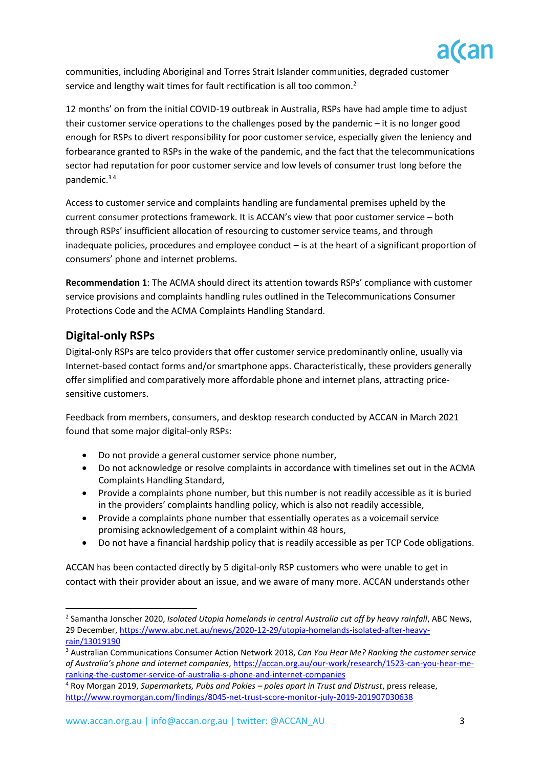

communities, including Aboriginal and Torres Strait Islander communities, degraded customer service and lengthy wait times for fault rectification is all too common.<sup>2</sup>

12 months' on from the initial COVID-19 outbreak in Australia, RSPs have had ample time to adjust their customer service operations to the challenges posed by the pandemic – it is no longer good enough for RSPs to divert responsibility for poor customer service, especially given the leniency and forbearance granted to RSPs in the wake of the pandemic, and the fact that the telecommunications sector had reputation for poor customer service and low levels of consumer trust long before the pandemic.<sup>3</sup> <sup>4</sup>

Access to customer service and complaints handling are fundamental premises upheld by the current consumer protections framework. It is ACCAN's view that poor customer service – both through RSPs' insufficient allocation of resourcing to customer service teams, and through inadequate policies, procedures and employee conduct – is at the heart of a significant proportion of consumers' phone and internet problems.

**Recommendation 1**: The ACMA should direct its attention towards RSPs' compliance with customer service provisions and complaints handling rules outlined in the Telecommunications Consumer Protections Code and the ACMA Complaints Handling Standard.

# **Digital-only RSPs**

Digital-only RSPs are telco providers that offer customer service predominantly online, usually via Internet-based contact forms and/or smartphone apps. Characteristically, these providers generally offer simplified and comparatively more affordable phone and internet plans, attracting pricesensitive customers.

Feedback from members, consumers, and desktop research conducted by ACCAN in March 2021 found that some major digital-only RSPs:

- Do not provide a general customer service phone number,
- Do not acknowledge or resolve complaints in accordance with timelines set out in the ACMA Complaints Handling Standard,
- Provide a complaints phone number, but this number is not readily accessible as it is buried in the providers' complaints handling policy, which is also not readily accessible,
- Provide a complaints phone number that essentially operates as a voicemail service promising acknowledgement of a complaint within 48 hours,
- Do not have a financial hardship policy that is readily accessible as per TCP Code obligations.

ACCAN has been contacted directly by 5 digital-only RSP customers who were unable to get in contact with their provider about an issue, and we aware of many more. ACCAN understands other

<sup>2</sup> Samantha Jonscher 2020, *Isolated Utopia homelands in central Australia cut off by heavy rainfall*, ABC News, 29 December, [https://www.abc.net.au/news/2020-12-29/utopia-homelands-isolated-after-heavy](https://www.abc.net.au/news/2020-12-29/utopia-homelands-isolated-after-heavy-rain/13019190)[rain/13019190](https://www.abc.net.au/news/2020-12-29/utopia-homelands-isolated-after-heavy-rain/13019190)

<sup>3</sup> Australian Communications Consumer Action Network 2018, *Can You Hear Me? Ranking the customer service of Australia's phone and internet companies*[, https://accan.org.au/our-work/research/1523-can-you-hear-me](https://accan.org.au/our-work/research/1523-can-you-hear-me-ranking-the-customer-service-of-australia-s-phone-and-internet-companies)[ranking-the-customer-service-of-australia-s-phone-and-internet-companies](https://accan.org.au/our-work/research/1523-can-you-hear-me-ranking-the-customer-service-of-australia-s-phone-and-internet-companies)

<sup>4</sup> Roy Morgan 2019, *Supermarkets, Pubs and Pokies – poles apart in Trust and Distrust*, press release, <http://www.roymorgan.com/findings/8045-net-trust-score-monitor-july-2019-201907030638>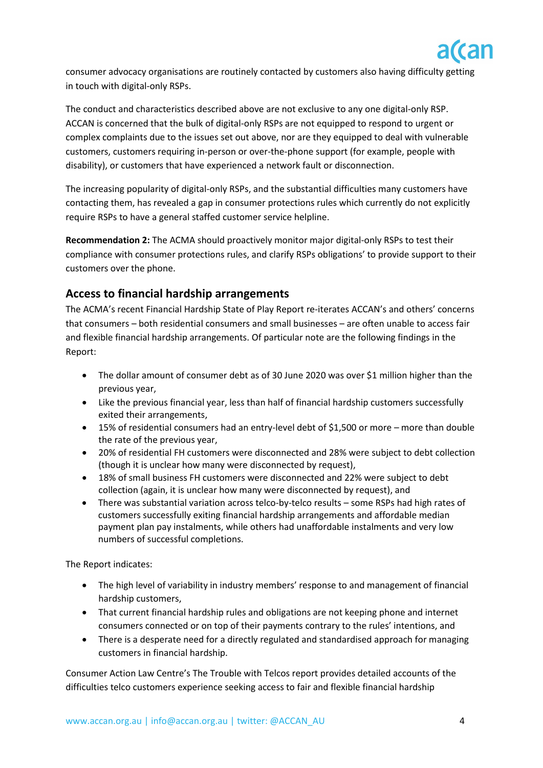

consumer advocacy organisations are routinely contacted by customers also having difficulty getting in touch with digital-only RSPs.

The conduct and characteristics described above are not exclusive to any one digital-only RSP. ACCAN is concerned that the bulk of digital-only RSPs are not equipped to respond to urgent or complex complaints due to the issues set out above, nor are they equipped to deal with vulnerable customers, customers requiring in-person or over-the-phone support (for example, people with disability), or customers that have experienced a network fault or disconnection.

The increasing popularity of digital-only RSPs, and the substantial difficulties many customers have contacting them, has revealed a gap in consumer protections rules which currently do not explicitly require RSPs to have a general staffed customer service helpline.

**Recommendation 2:** The ACMA should proactively monitor major digital-only RSPs to test their compliance with consumer protections rules, and clarify RSPs obligations' to provide support to their customers over the phone.

# **Access to financial hardship arrangements**

The ACMA's recent Financial Hardship State of Play Report re-iterates ACCAN's and others' concerns that consumers – both residential consumers and small businesses – are often unable to access fair and flexible financial hardship arrangements. Of particular note are the following findings in the Report:

- The dollar amount of consumer debt as of 30 June 2020 was over \$1 million higher than the previous year,
- Like the previous financial year, less than half of financial hardship customers successfully exited their arrangements,
- 15% of residential consumers had an entry-level debt of \$1,500 or more more than double the rate of the previous year,
- 20% of residential FH customers were disconnected and 28% were subject to debt collection (though it is unclear how many were disconnected by request),
- 18% of small business FH customers were disconnected and 22% were subject to debt collection (again, it is unclear how many were disconnected by request), and
- There was substantial variation across telco-by-telco results some RSPs had high rates of customers successfully exiting financial hardship arrangements and affordable median payment plan pay instalments, while others had unaffordable instalments and very low numbers of successful completions.

The Report indicates:

- The high level of variability in industry members' response to and management of financial hardship customers,
- That current financial hardship rules and obligations are not keeping phone and internet consumers connected or on top of their payments contrary to the rules' intentions, and
- There is a desperate need for a directly regulated and standardised approach for managing customers in financial hardship.

Consumer Action Law Centre's The Trouble with Telcos report provides detailed accounts of the difficulties telco customers experience seeking access to fair and flexible financial hardship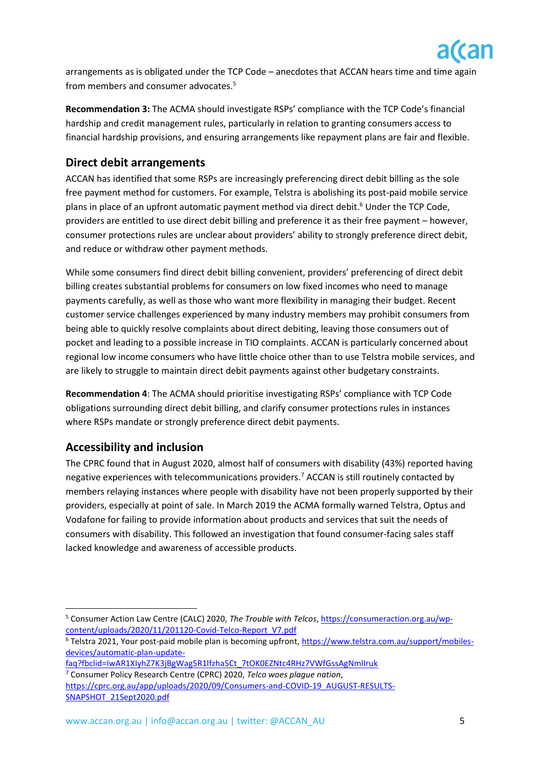

arrangements as is obligated under the TCP Code – anecdotes that ACCAN hears time and time again from members and consumer advocates.<sup>5</sup>

**Recommendation 3:** The ACMA should investigate RSPs' compliance with the TCP Code's financial hardship and credit management rules, particularly in relation to granting consumers access to financial hardship provisions, and ensuring arrangements like repayment plans are fair and flexible.

## **Direct debit arrangements**

ACCAN has identified that some RSPs are increasingly preferencing direct debit billing as the sole free payment method for customers. For example, Telstra is abolishing its post-paid mobile service plans in place of an upfront automatic payment method via direct debit. <sup>6</sup> Under the TCP Code, providers are entitled to use direct debit billing and preference it as their free payment – however, consumer protections rules are unclear about providers' ability to strongly preference direct debit, and reduce or withdraw other payment methods.

While some consumers find direct debit billing convenient, providers' preferencing of direct debit billing creates substantial problems for consumers on low fixed incomes who need to manage payments carefully, as well as those who want more flexibility in managing their budget. Recent customer service challenges experienced by many industry members may prohibit consumers from being able to quickly resolve complaints about direct debiting, leaving those consumers out of pocket and leading to a possible increase in TIO complaints. ACCAN is particularly concerned about regional low income consumers who have little choice other than to use Telstra mobile services, and are likely to struggle to maintain direct debit payments against other budgetary constraints.

**Recommendation 4**: The ACMA should prioritise investigating RSPs' compliance with TCP Code obligations surrounding direct debit billing, and clarify consumer protections rules in instances where RSPs mandate or strongly preference direct debit payments.

## **Accessibility and inclusion**

The CPRC found that in August 2020, almost half of consumers with disability (43%) reported having negative experiences with telecommunications providers.<sup>7</sup> ACCAN is still routinely contacted by members relaying instances where people with disability have not been properly supported by their providers, especially at point of sale. In March 2019 the ACMA formally warned Telstra, Optus and Vodafone for failing to provide information about products and services that suit the needs of consumers with disability. This followed an investigation that found consumer-facing sales staff lacked knowledge and awareness of accessible products.

<sup>5</sup> Consumer Action Law Centre (CALC) 2020, *The Trouble with Telcos*, [https://consumeraction.org.au/wp](https://consumeraction.org.au/wp-content/uploads/2020/11/201120-Covid-Telco-Report_V7.pdf)[content/uploads/2020/11/201120-Covid-Telco-Report\\_V7.pdf](https://consumeraction.org.au/wp-content/uploads/2020/11/201120-Covid-Telco-Report_V7.pdf)

<sup>6</sup> Telstra 2021, Your post-paid mobile plan is becoming upfront, [https://www.telstra.com.au/support/mobiles](https://www.telstra.com.au/support/mobiles-devices/automatic-plan-update-faq?fbclid=IwAR1XIyhZ7K3jBgWag5R1lfzha5Ct_7tOK0EZNtc4RHz7VWfGssAgNmlIruk)[devices/automatic-plan-update-](https://www.telstra.com.au/support/mobiles-devices/automatic-plan-update-faq?fbclid=IwAR1XIyhZ7K3jBgWag5R1lfzha5Ct_7tOK0EZNtc4RHz7VWfGssAgNmlIruk)

[faq?fbclid=IwAR1XIyhZ7K3jBgWag5R1lfzha5Ct\\_7tOK0EZNtc4RHz7VWfGssAgNmlIruk](https://www.telstra.com.au/support/mobiles-devices/automatic-plan-update-faq?fbclid=IwAR1XIyhZ7K3jBgWag5R1lfzha5Ct_7tOK0EZNtc4RHz7VWfGssAgNmlIruk)

<sup>7</sup> Consumer Policy Research Centre (CPRC) 2020, *Telco woes plague nation*, [https://cprc.org.au/app/uploads/2020/09/Consumers-and-COVID-19\\_AUGUST-RESULTS-](https://cprc.org.au/app/uploads/2020/09/Consumers-and-COVID-19_AUGUST-RESULTS-SNAPSHOT_21Sept2020.pdf)[SNAPSHOT\\_21Sept2020.pdf](https://cprc.org.au/app/uploads/2020/09/Consumers-and-COVID-19_AUGUST-RESULTS-SNAPSHOT_21Sept2020.pdf)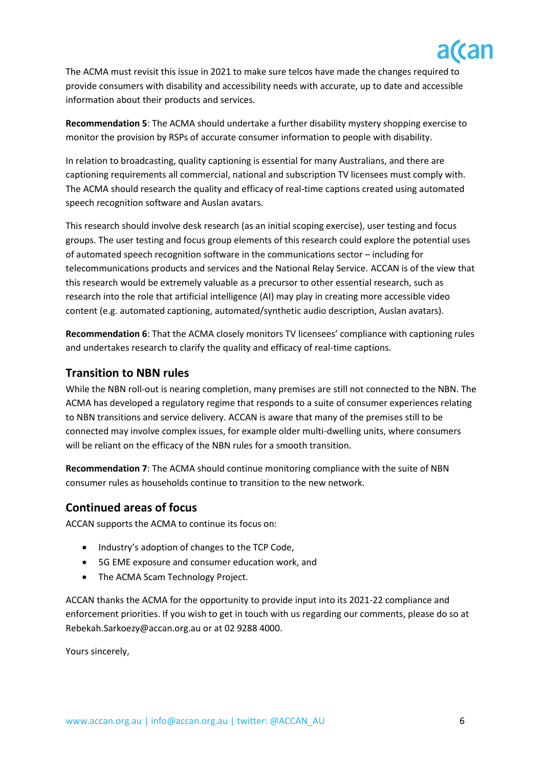

The ACMA must revisit this issue in 2021 to make sure telcos have made the changes required to provide consumers with disability and accessibility needs with accurate, up to date and accessible information about their products and services.

**Recommendation 5**: The ACMA should undertake a further disability mystery shopping exercise to monitor the provision by RSPs of accurate consumer information to people with disability.

In relation to broadcasting, quality captioning is essential for many Australians, and there are captioning requirements all commercial, national and subscription TV licensees must comply with. The ACMA should research the quality and efficacy of real-time captions created using automated speech recognition software and Auslan avatars.

This research should involve desk research (as an initial scoping exercise), user testing and focus groups. The user testing and focus group elements of this research could explore the potential uses of automated speech recognition software in the communications sector – including for telecommunications products and services and the National Relay Service. ACCAN is of the view that this research would be extremely valuable as a precursor to other essential research, such as research into the role that artificial intelligence (AI) may play in creating more accessible video content (e.g. automated captioning, automated/synthetic audio description, Auslan avatars).

**Recommendation 6**: That the ACMA closely monitors TV licensees' compliance with captioning rules and undertakes research to clarify the quality and efficacy of real-time captions.

### **Transition to NBN rules**

While the NBN roll-out is nearing completion, many premises are still not connected to the NBN. The ACMA has developed a regulatory regime that responds to a suite of consumer experiences relating to NBN transitions and service delivery. ACCAN is aware that many of the premises still to be connected may involve complex issues, for example older multi-dwelling units, where consumers will be reliant on the efficacy of the NBN rules for a smooth transition.

**Recommendation 7**: The ACMA should continue monitoring compliance with the suite of NBN consumer rules as households continue to transition to the new network.

#### **Continued areas of focus**

ACCAN supports the ACMA to continue its focus on:

- Industry's adoption of changes to the TCP Code,
- 5G EME exposure and consumer education work, and
- The ACMA Scam Technology Project.

ACCAN thanks the ACMA for the opportunity to provide input into its 2021-22 compliance and enforcement priorities. If you wish to get in touch with us regarding our comments, please do so at [Rebekah.Sarkoezy@accan.org.au](mailto:Rebekah.Sarkoezy@accan.org.au) or at 02 9288 4000.

Yours sincerely,